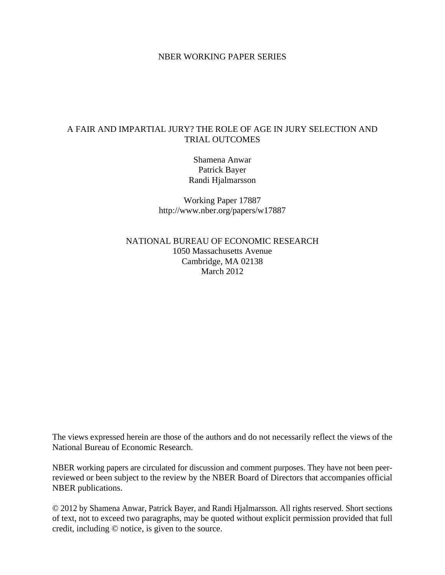## NBER WORKING PAPER SERIES

# A FAIR AND IMPARTIAL JURY? THE ROLE OF AGE IN JURY SELECTION AND TRIAL OUTCOMES

Shamena Anwar Patrick Bayer Randi Hjalmarsson

Working Paper 17887 http://www.nber.org/papers/w17887

NATIONAL BUREAU OF ECONOMIC RESEARCH 1050 Massachusetts Avenue Cambridge, MA 02138 March 2012

The views expressed herein are those of the authors and do not necessarily reflect the views of the National Bureau of Economic Research.

NBER working papers are circulated for discussion and comment purposes. They have not been peerreviewed or been subject to the review by the NBER Board of Directors that accompanies official NBER publications.

© 2012 by Shamena Anwar, Patrick Bayer, and Randi Hjalmarsson. All rights reserved. Short sections of text, not to exceed two paragraphs, may be quoted without explicit permission provided that full credit, including © notice, is given to the source.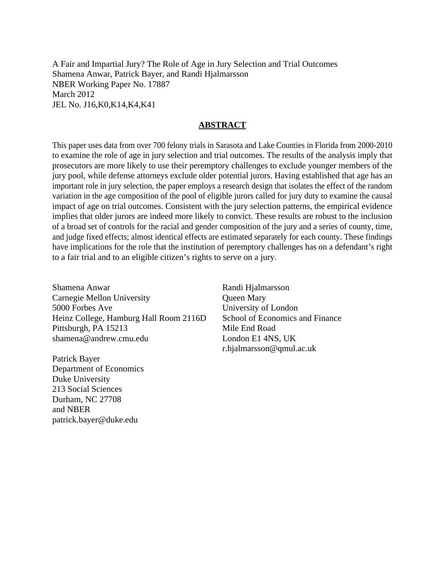A Fair and Impartial Jury? The Role of Age in Jury Selection and Trial Outcomes Shamena Anwar, Patrick Bayer, and Randi Hjalmarsson NBER Working Paper No. 17887 March 2012 JEL No. J16,K0,K14,K4,K41

# **ABSTRACT**

This paper uses data from over 700 felony trials in Sarasota and Lake Counties in Florida from 2000-2010 to examine the role of age in jury selection and trial outcomes. The results of the analysis imply that prosecutors are more likely to use their peremptory challenges to exclude younger members of the jury pool, while defense attorneys exclude older potential jurors. Having established that age has an important role in jury selection, the paper employs a research design that isolates the effect of the random variation in the age composition of the pool of eligible jurors called for jury duty to examine the causal impact of age on trial outcomes. Consistent with the jury selection patterns, the empirical evidence implies that older jurors are indeed more likely to convict. These results are robust to the inclusion of a broad set of controls for the racial and gender composition of the jury and a series of county, time, and judge fixed effects; almost identical effects are estimated separately for each county. These findings have implications for the role that the institution of peremptory challenges has on a defendant's right to a fair trial and to an eligible citizen's rights to serve on a jury.

Shamena Anwar Carnegie Mellon University 5000 Forbes Ave Heinz College, Hamburg Hall Room 2116D Pittsburgh, PA 15213 shamena@andrew.cmu.edu

Patrick Bayer Department of Economics Duke University 213 Social Sciences Durham, NC 27708 and NBER patrick.bayer@duke.edu

Randi Hjalmarsson Queen Mary University of London School of Economics and Finance Mile End Road London E1 4NS, UK r.hjalmarsson@qmul.ac.uk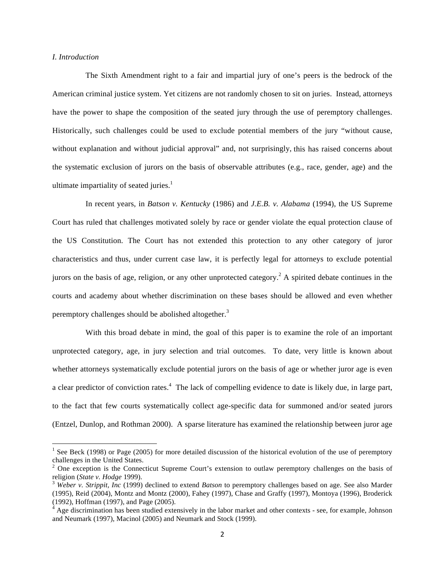### *I. Introduction*

""""""""""""""""""""""""""""""""""""""""""""""""""""""""""""

The Sixth Amendment right to a fair and impartial jury of one's peers is the bedrock of the American criminal justice system. Yet citizens are not randomly chosen to sit on juries. Instead, attorneys have the power to shape the composition of the seated jury through the use of peremptory challenges. Historically, such challenges could be used to exclude potential members of the jury "without cause, without explanation and without judicial approval" and, not surprisingly, this has raised concerns about the systematic exclusion of jurors on the basis of observable attributes (e.g., race, gender, age) and the ultimate impartiality of seated juries. $<sup>1</sup>$ </sup>

In recent years, in *Batson v. Kentucky* (1986) and *J.E.B. v. Alabama* (1994), the US Supreme Court has ruled that challenges motivated solely by race or gender violate the equal protection clause of the US Constitution. The Court has not extended this protection to any other category of juror characteristics and thus, under current case law, it is perfectly legal for attorneys to exclude potential jurors on the basis of age, religion, or any other unprotected category. <sup>2</sup> A spirited debate continues in the courts and academy about whether discrimination on these bases should be allowed and even whether peremptory challenges should be abolished altogether. $3$ 

With this broad debate in mind, the goal of this paper is to examine the role of an important unprotected category, age, in jury selection and trial outcomes. To date, very little is known about whether attorneys systematically exclude potential jurors on the basis of age or whether juror age is even a clear predictor of conviction rates.<sup>4</sup> The lack of compelling evidence to date is likely due, in large part, to the fact that few courts systematically collect age-specific data for summoned and/or seated jurors (Entzel, Dunlop, and Rothman 2000). A sparse literature has examined the relationship between juror age

<sup>&</sup>lt;sup>1</sup> See Beck (1998) or Page (2005) for more detailed discussion of the historical evolution of the use of peremptory challenges in the United States.

<sup>&</sup>lt;sup>2</sup> One exception is the Connecticut Supreme Court's extension to outlaw peremptory challenges on the basis of religion (*State v. Hodge* 1999). <sup>3</sup> *Weber v. Strippit, Inc* (1999) declined to extend *Batson* to peremptory challenges based on age. See also Marder

<sup>(1995),</sup> Reid (2004), Montz and Montz (2000), Fahey (1997), Chase and Graffy (1997), Montoya (1996), Broderick (1992), Hoffman (1997), and Page (2005).<br><sup>4</sup> Age discrimination has been studied extensively in the labor market and other contexts - see, for example, Johnson

and Neumark (1997), Macinol (2005) and Neumark and Stock (1999).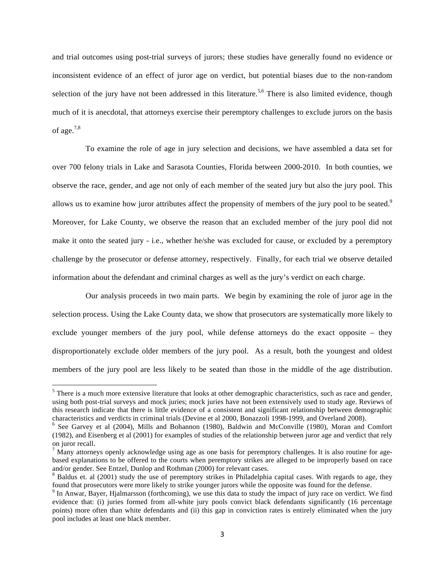and trial outcomes using post-trial surveys of jurors; these studies have generally found no evidence or inconsistent evidence of an effect of juror age on verdict, but potential biases due to the non-random selection of the jury have not been addressed in this literature.<sup>5,6</sup> There is also limited evidence, though much of it is anecdotal, that attorneys exercise their peremptory challenges to exclude jurors on the basis of age.7,8

To examine the role of age in jury selection and decisions, we have assembled a data set for over 700 felony trials in Lake and Sarasota Counties, Florida between 2000-2010. In both counties, we observe the race, gender, and age not only of each member of the seated jury but also the jury pool. This allows us to examine how juror attributes affect the propensity of members of the jury pool to be seated.<sup>9</sup> Moreover, for Lake County, we observe the reason that an excluded member of the jury pool did not make it onto the seated jury - i.e., whether he/she was excluded for cause, or excluded by a peremptory challenge by the prosecutor or defense attorney, respectively. Finally, for each trial we observe detailed information about the defendant and criminal charges as well as the jury's verdict on each charge.

Our analysis proceeds in two main parts. We begin by examining the role of juror age in the selection process. Using the Lake County data, we show that prosecutors are systematically more likely to exclude younger members of the jury pool, while defense attorneys do the exact opposite – they disproportionately exclude older members of the jury pool. As a result, both the youngest and oldest members of the jury pool are less likely to be seated than those in the middle of the age distribution.

 $<sup>5</sup>$  There is a much more extensive literature that looks at other demographic characteristics, such as race and gender,</sup> using both post-trial surveys and mock juries; mock juries have not been extensively used to study age. Reviews of this research indicate that there is little evidence of a consistent and significant relationship between demographic characteristics and verdicts in criminal trials (Devine et al 2000, Bonazzoli 1998-1999, and Overland 2008).

 $6$  See Garvey et al (2004), Mills and Bohannon (1980), Baldwin and McConville (1980), Moran and Comfort (1982), and Eisenberg et al (2001) for examples of studies of the relationship between juror age and verdict that rely on juror recall.

 $\frac{7}{1}$  Many attorneys openly acknowledge using age as one basis for peremptory challenges. It is also routine for agebased explanations to be offered to the courts when peremptory strikes are alleged to be improperly based on race and/or gender. See Entzel, Dunlop and Rothman (2000) for relevant cases.

<sup>&</sup>lt;sup>8</sup> Baldus et. al (2001) study the use of peremptory strikes in Philadelphia capital cases. With regards to age, they found that prosecutors were more likely to strike younger jurors while the opposite was found for the defense. <sup>9</sup>

 $<sup>9</sup>$  In Anwar, Bayer, Hjalmarsson (forthcoming), we use this data to study the impact of jury race on verdict. We find</sup> evidence that: (i) juries formed from all-white jury pools convict black defendants significantly (16 percentage points) more often than white defendants and (ii) this gap in conviction rates is entirely eliminated when the jury pool includes at least one black member.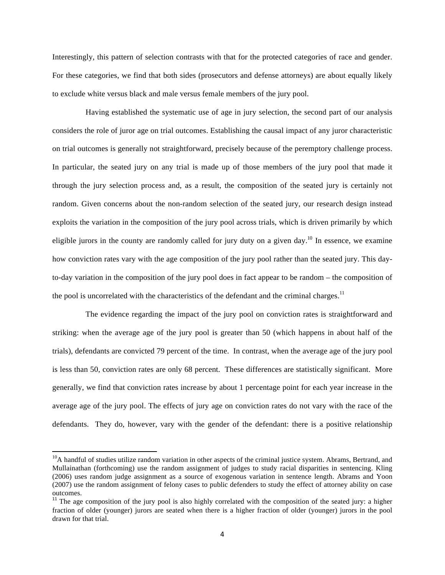Interestingly, this pattern of selection contrasts with that for the protected categories of race and gender. For these categories, we find that both sides (prosecutors and defense attorneys) are about equally likely to exclude white versus black and male versus female members of the jury pool.

Having established the systematic use of age in jury selection, the second part of our analysis considers the role of juror age on trial outcomes. Establishing the causal impact of any juror characteristic on trial outcomes is generally not straightforward, precisely because of the peremptory challenge process. In particular, the seated jury on any trial is made up of those members of the jury pool that made it through the jury selection process and, as a result, the composition of the seated jury is certainly not random. Given concerns about the non-random selection of the seated jury, our research design instead exploits the variation in the composition of the jury pool across trials, which is driven primarily by which eligible jurors in the county are randomly called for jury duty on a given day.<sup>10</sup> In essence, we examine how conviction rates vary with the age composition of the jury pool rather than the seated jury. This dayto-day variation in the composition of the jury pool does in fact appear to be random – the composition of the pool is uncorrelated with the characteristics of the defendant and the criminal charges.<sup>11</sup>

The evidence regarding the impact of the jury pool on conviction rates is straightforward and striking: when the average age of the jury pool is greater than 50 (which happens in about half of the trials), defendants are convicted 79 percent of the time. In contrast, when the average age of the jury pool is less than 50, conviction rates are only 68 percent. These differences are statistically significant. More generally, we find that conviction rates increase by about 1 percentage point for each year increase in the average age of the jury pool. The effects of jury age on conviction rates do not vary with the race of the defendants. They do, however, vary with the gender of the defendant: there is a positive relationship

 $10A$  handful of studies utilize random variation in other aspects of the criminal justice system. Abrams, Bertrand, and Mullainathan (forthcoming) use the random assignment of judges to study racial disparities in sentencing. Kling (2006) uses random judge assignment as a source of exogenous variation in sentence length. Abrams and Yoon (2007) use the random assignment of felony cases to public defenders to study the effect of attorney ability on case outcomes.

 $11$  The age composition of the jury pool is also highly correlated with the composition of the seated jury: a higher fraction of older (younger) jurors are seated when there is a higher fraction of older (younger) jurors in the pool drawn for that trial.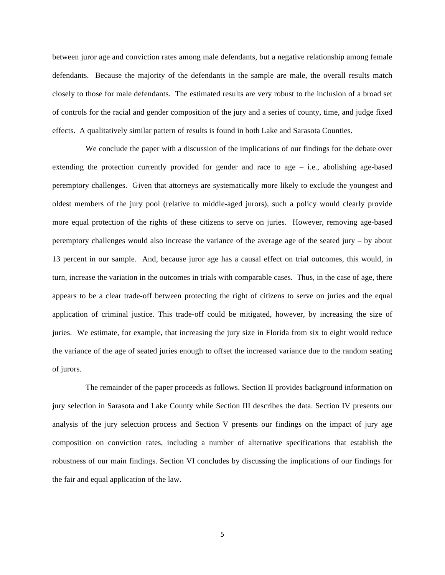between juror age and conviction rates among male defendants, but a negative relationship among female defendants. Because the majority of the defendants in the sample are male, the overall results match closely to those for male defendants. The estimated results are very robust to the inclusion of a broad set of controls for the racial and gender composition of the jury and a series of county, time, and judge fixed effects. A qualitatively similar pattern of results is found in both Lake and Sarasota Counties.

We conclude the paper with a discussion of the implications of our findings for the debate over extending the protection currently provided for gender and race to age – i.e., abolishing age-based peremptory challenges. Given that attorneys are systematically more likely to exclude the youngest and oldest members of the jury pool (relative to middle-aged jurors), such a policy would clearly provide more equal protection of the rights of these citizens to serve on juries. However, removing age-based peremptory challenges would also increase the variance of the average age of the seated jury – by about 13 percent in our sample. And, because juror age has a causal effect on trial outcomes, this would, in turn, increase the variation in the outcomes in trials with comparable cases. Thus, in the case of age, there appears to be a clear trade-off between protecting the right of citizens to serve on juries and the equal application of criminal justice. This trade-off could be mitigated, however, by increasing the size of juries. We estimate, for example, that increasing the jury size in Florida from six to eight would reduce the variance of the age of seated juries enough to offset the increased variance due to the random seating of jurors.

The remainder of the paper proceeds as follows. Section II provides background information on jury selection in Sarasota and Lake County while Section III describes the data. Section IV presents our analysis of the jury selection process and Section V presents our findings on the impact of jury age composition on conviction rates, including a number of alternative specifications that establish the robustness of our main findings. Section VI concludes by discussing the implications of our findings for the fair and equal application of the law.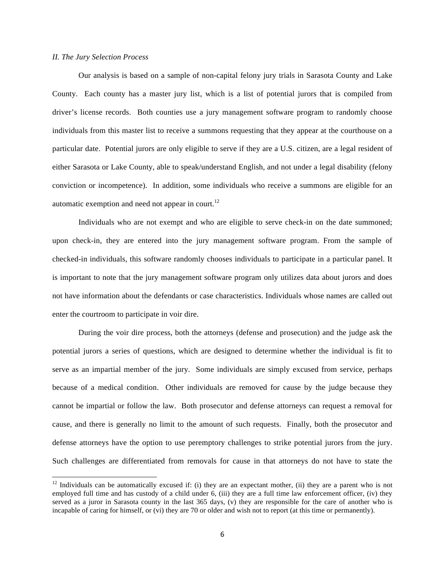### *II. The Jury Selection Process*

""""""""""""""""""""""""""""""""""""""""""""""""""""""""""""

Our analysis is based on a sample of non-capital felony jury trials in Sarasota County and Lake County. Each county has a master jury list, which is a list of potential jurors that is compiled from driver's license records. Both counties use a jury management software program to randomly choose individuals from this master list to receive a summons requesting that they appear at the courthouse on a particular date. Potential jurors are only eligible to serve if they are a U.S. citizen, are a legal resident of either Sarasota or Lake County, able to speak/understand English, and not under a legal disability (felony conviction or incompetence). In addition, some individuals who receive a summons are eligible for an automatic exemption and need not appear in court. $^{12}$ 

Individuals who are not exempt and who are eligible to serve check-in on the date summoned; upon check-in, they are entered into the jury management software program. From the sample of checked-in individuals, this software randomly chooses individuals to participate in a particular panel. It is important to note that the jury management software program only utilizes data about jurors and does not have information about the defendants or case characteristics. Individuals whose names are called out enter the courtroom to participate in voir dire.

During the voir dire process, both the attorneys (defense and prosecution) and the judge ask the potential jurors a series of questions, which are designed to determine whether the individual is fit to serve as an impartial member of the jury. Some individuals are simply excused from service, perhaps because of a medical condition. Other individuals are removed for cause by the judge because they cannot be impartial or follow the law. Both prosecutor and defense attorneys can request a removal for cause, and there is generally no limit to the amount of such requests. Finally, both the prosecutor and defense attorneys have the option to use peremptory challenges to strike potential jurors from the jury. Such challenges are differentiated from removals for cause in that attorneys do not have to state the

 $12$  Individuals can be automatically excused if: (i) they are an expectant mother, (ii) they are a parent who is not employed full time and has custody of a child under 6, (iii) they are a full time law enforcement officer, (iv) they served as a juror in Sarasota county in the last 365 days, (v) they are responsible for the care of another who is incapable of caring for himself, or (vi) they are 70 or older and wish not to report (at this time or permanently).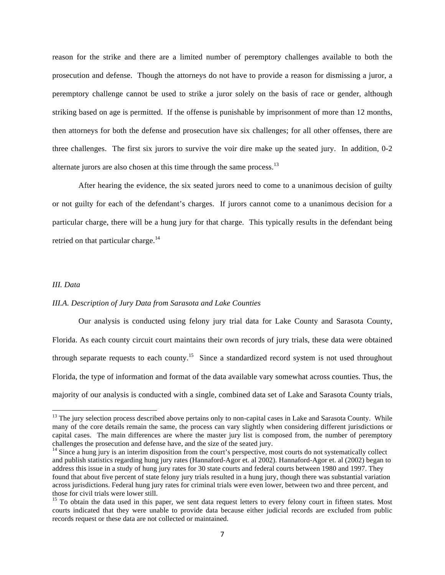reason for the strike and there are a limited number of peremptory challenges available to both the prosecution and defense. Though the attorneys do not have to provide a reason for dismissing a juror, a peremptory challenge cannot be used to strike a juror solely on the basis of race or gender, although striking based on age is permitted. If the offense is punishable by imprisonment of more than 12 months, then attorneys for both the defense and prosecution have six challenges; for all other offenses, there are three challenges. The first six jurors to survive the voir dire make up the seated jury. In addition, 0-2 alternate jurors are also chosen at this time through the same process.<sup>13</sup>

After hearing the evidence, the six seated jurors need to come to a unanimous decision of guilty or not guilty for each of the defendant's charges. If jurors cannot come to a unanimous decision for a particular charge, there will be a hung jury for that charge. This typically results in the defendant being retried on that particular charge. $14$ 

## *III. Data*

""""""""""""""""""""""""""""""""""""""""""""""""""""""""""""

### *III.A. Description of Jury Data from Sarasota and Lake Counties*

Our analysis is conducted using felony jury trial data for Lake County and Sarasota County, Florida. As each county circuit court maintains their own records of jury trials, these data were obtained through separate requests to each county.<sup>15</sup> Since a standardized record system is not used throughout Florida, the type of information and format of the data available vary somewhat across counties. Thus, the majority of our analysis is conducted with a single, combined data set of Lake and Sarasota County trials,

 $13$  The jury selection process described above pertains only to non-capital cases in Lake and Sarasota County. While many of the core details remain the same, the process can vary slightly when considering different jurisdictions or capital cases. The main differences are where the master jury list is composed from, the number of peremptory challenges the prosecution and defense have, and the size of the seated jury.

<sup>&</sup>lt;sup>14</sup> Since a hung jury is an interim disposition from the court's perspective, most courts do not systematically collect and publish statistics regarding hung jury rates (Hannaford-Agor et. al 2002). Hannaford-Agor et. al (2002) began to address this issue in a study of hung jury rates for 30 state courts and federal courts between 1980 and 1997. They found that about five percent of state felony jury trials resulted in a hung jury, though there was substantial variation across jurisdictions. Federal hung jury rates for criminal trials were even lower, between two and three percent, and those for civil trials were lower still.

 $15$  To obtain the data used in this paper, we sent data request letters to every felony court in fifteen states. Most courts indicated that they were unable to provide data because either judicial records are excluded from public records request or these data are not collected or maintained.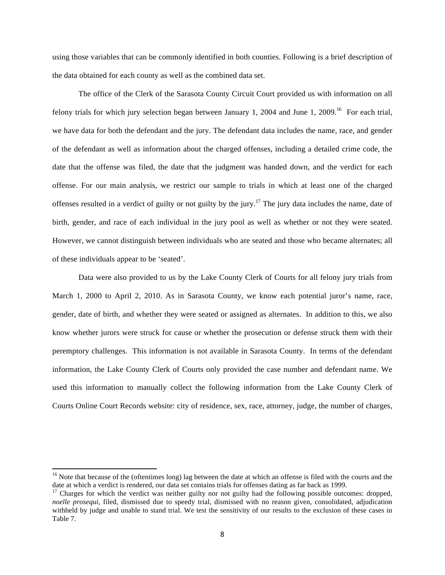using those variables that can be commonly identified in both counties. Following is a brief description of the data obtained for each county as well as the combined data set.

The office of the Clerk of the Sarasota County Circuit Court provided us with information on all felony trials for which jury selection began between January 1, 2004 and June 1, 2009.<sup>16</sup> For each trial, we have data for both the defendant and the jury. The defendant data includes the name, race, and gender of the defendant as well as information about the charged offenses, including a detailed crime code, the date that the offense was filed, the date that the judgment was handed down, and the verdict for each offense. For our main analysis, we restrict our sample to trials in which at least one of the charged offenses resulted in a verdict of guilty or not guilty by the jury.17 The jury data includes the name, date of birth, gender, and race of each individual in the jury pool as well as whether or not they were seated. However, we cannot distinguish between individuals who are seated and those who became alternates; all of these individuals appear to be 'seated'.

Data were also provided to us by the Lake County Clerk of Courts for all felony jury trials from March 1, 2000 to April 2, 2010. As in Sarasota County, we know each potential juror's name, race, gender, date of birth, and whether they were seated or assigned as alternates. In addition to this, we also know whether jurors were struck for cause or whether the prosecution or defense struck them with their peremptory challenges. This information is not available in Sarasota County. In terms of the defendant information, the Lake County Clerk of Courts only provided the case number and defendant name. We used this information to manually collect the following information from the Lake County Clerk of Courts Online Court Records website: city of residence, sex, race, attorney, judge, the number of charges,

<sup>&</sup>lt;sup>16</sup> Note that because of the (oftentimes long) lag between the date at which an offense is filed with the courts and the date at which a verdict is rendered, our data set contains trials for offenses dating as far back a

<sup>&</sup>lt;sup>17</sup> Charges for which the verdict was neither guilty nor not guilty had the following possible outcomes: dropped, *noelle prosequi*, filed, dismissed due to speedy trial, dismissed with no reason given, consolidated, adjudication withheld by judge and unable to stand trial. We test the sensitivity of our results to the exclusion of these cases in Table 7.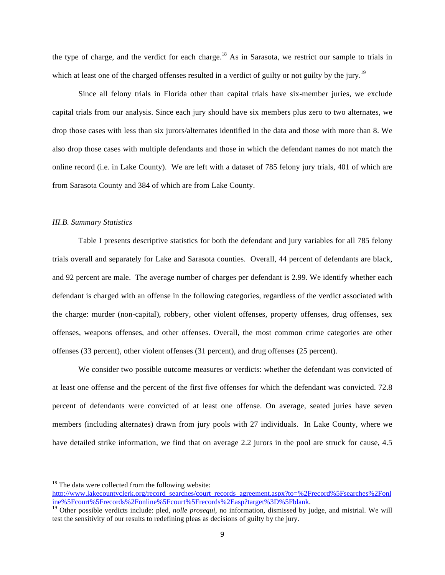the type of charge, and the verdict for each charge.<sup>18</sup> As in Sarasota, we restrict our sample to trials in which at least one of the charged offenses resulted in a verdict of guilty or not guilty by the jury.<sup>19</sup>

Since all felony trials in Florida other than capital trials have six-member juries, we exclude capital trials from our analysis. Since each jury should have six members plus zero to two alternates, we drop those cases with less than six jurors/alternates identified in the data and those with more than 8. We also drop those cases with multiple defendants and those in which the defendant names do not match the online record (i.e. in Lake County). We are left with a dataset of 785 felony jury trials, 401 of which are from Sarasota County and 384 of which are from Lake County.

#### *III.B. Summary Statistics*

Table I presents descriptive statistics for both the defendant and jury variables for all 785 felony trials overall and separately for Lake and Sarasota counties. Overall, 44 percent of defendants are black, and 92 percent are male. The average number of charges per defendant is 2.99. We identify whether each defendant is charged with an offense in the following categories, regardless of the verdict associated with the charge: murder (non-capital), robbery, other violent offenses, property offenses, drug offenses, sex offenses, weapons offenses, and other offenses. Overall, the most common crime categories are other offenses (33 percent), other violent offenses (31 percent), and drug offenses (25 percent).

We consider two possible outcome measures or verdicts: whether the defendant was convicted of at least one offense and the percent of the first five offenses for which the defendant was convicted. 72.8 percent of defendants were convicted of at least one offense. On average, seated juries have seven members (including alternates) drawn from jury pools with 27 individuals. In Lake County, where we have detailed strike information, we find that on average 2.2 jurors in the pool are struck for cause, 4.5

 $18$  The data were collected from the following website:

http://www.lakecountyclerk.org/record\_searches/court\_records\_agreement.aspx?to=%2Frecord%5Fsearches%2Fonl

<sup>&</sup>lt;sup>19</sup> Other possible verdicts include: pled, *nolle prosequi*, no information, dismissed by judge, and mistrial. We will test the sensitivity of our results to redefining pleas as decisions of guilty by the jury.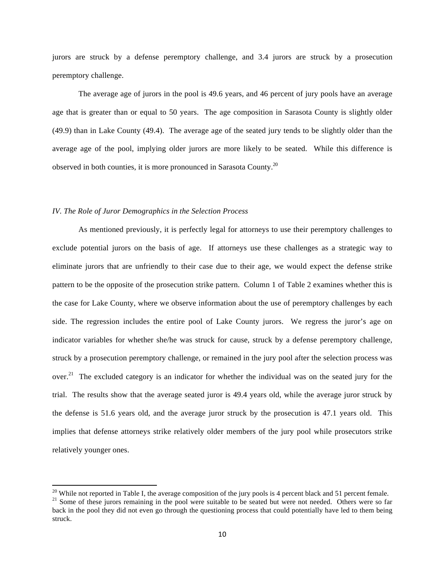jurors are struck by a defense peremptory challenge, and 3.4 jurors are struck by a prosecution peremptory challenge.

The average age of jurors in the pool is 49.6 years, and 46 percent of jury pools have an average age that is greater than or equal to 50 years. The age composition in Sarasota County is slightly older (49.9) than in Lake County (49.4). The average age of the seated jury tends to be slightly older than the average age of the pool, implying older jurors are more likely to be seated. While this difference is observed in both counties, it is more pronounced in Sarasota County.<sup>20</sup>

## *IV. The Role of Juror Demographics in the Selection Process*

""""""""""""""""""""""""""""""""""""""""""""""""""""""""""""

As mentioned previously, it is perfectly legal for attorneys to use their peremptory challenges to exclude potential jurors on the basis of age. If attorneys use these challenges as a strategic way to eliminate jurors that are unfriendly to their case due to their age, we would expect the defense strike pattern to be the opposite of the prosecution strike pattern. Column 1 of Table 2 examines whether this is the case for Lake County, where we observe information about the use of peremptory challenges by each side. The regression includes the entire pool of Lake County jurors. We regress the juror's age on indicator variables for whether she/he was struck for cause, struck by a defense peremptory challenge, struck by a prosecution peremptory challenge, or remained in the jury pool after the selection process was over.<sup>21</sup> The excluded category is an indicator for whether the individual was on the seated jury for the trial. The results show that the average seated juror is 49.4 years old, while the average juror struck by the defense is 51.6 years old, and the average juror struck by the prosecution is 47.1 years old. This implies that defense attorneys strike relatively older members of the jury pool while prosecutors strike relatively younger ones.

<sup>&</sup>lt;sup>20</sup> While not reported in Table I, the average composition of the jury pools is 4 percent black and 51 percent female.<br><sup>21</sup> Some of these jurors remaining in the pool were suitable to be seated but were not needed. Other

back in the pool they did not even go through the questioning process that could potentially have led to them being struck.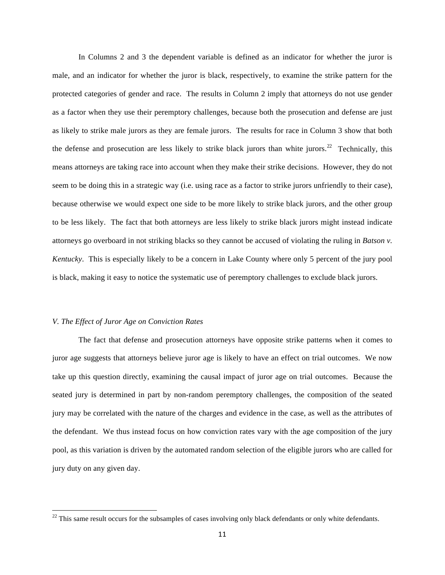In Columns 2 and 3 the dependent variable is defined as an indicator for whether the juror is male, and an indicator for whether the juror is black, respectively, to examine the strike pattern for the protected categories of gender and race. The results in Column 2 imply that attorneys do not use gender as a factor when they use their peremptory challenges, because both the prosecution and defense are just as likely to strike male jurors as they are female jurors. The results for race in Column 3 show that both the defense and prosecution are less likely to strike black jurors than white jurors.<sup>22</sup> Technically, this means attorneys are taking race into account when they make their strike decisions. However, they do not seem to be doing this in a strategic way (i.e. using race as a factor to strike jurors unfriendly to their case), because otherwise we would expect one side to be more likely to strike black jurors, and the other group to be less likely. The fact that both attorneys are less likely to strike black jurors might instead indicate attorneys go overboard in not striking blacks so they cannot be accused of violating the ruling in *Batson v. Kentucky*. This is especially likely to be a concern in Lake County where only 5 percent of the jury pool is black, making it easy to notice the systematic use of peremptory challenges to exclude black jurors.

### *V. The Effect of Juror Age on Conviction Rates*

""""""""""""""""""""""""""""""""""""""""""""""""""""""""""""

The fact that defense and prosecution attorneys have opposite strike patterns when it comes to juror age suggests that attorneys believe juror age is likely to have an effect on trial outcomes. We now take up this question directly, examining the causal impact of juror age on trial outcomes. Because the seated jury is determined in part by non-random peremptory challenges, the composition of the seated jury may be correlated with the nature of the charges and evidence in the case, as well as the attributes of the defendant. We thus instead focus on how conviction rates vary with the age composition of the jury pool, as this variation is driven by the automated random selection of the eligible jurors who are called for jury duty on any given day.

 $22$  This same result occurs for the subsamples of cases involving only black defendants or only white defendants.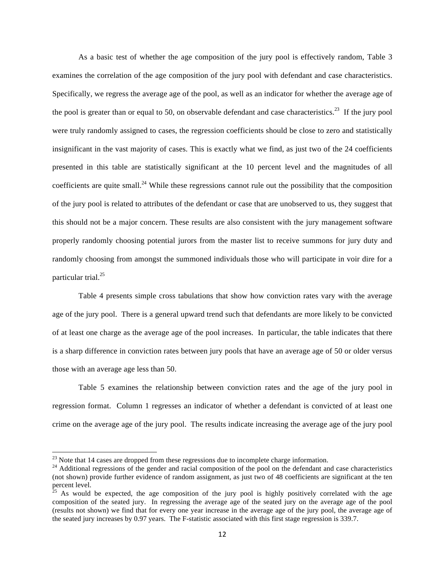As a basic test of whether the age composition of the jury pool is effectively random, Table 3 examines the correlation of the age composition of the jury pool with defendant and case characteristics. Specifically, we regress the average age of the pool, as well as an indicator for whether the average age of the pool is greater than or equal to 50, on observable defendant and case characteristics.<sup>23</sup> If the jury pool were truly randomly assigned to cases, the regression coefficients should be close to zero and statistically insignificant in the vast majority of cases. This is exactly what we find, as just two of the 24 coefficients presented in this table are statistically significant at the 10 percent level and the magnitudes of all coefficients are quite small.<sup>24</sup> While these regressions cannot rule out the possibility that the composition of the jury pool is related to attributes of the defendant or case that are unobserved to us, they suggest that this should not be a major concern. These results are also consistent with the jury management software properly randomly choosing potential jurors from the master list to receive summons for jury duty and randomly choosing from amongst the summoned individuals those who will participate in voir dire for a particular trial. 25

Table 4 presents simple cross tabulations that show how conviction rates vary with the average age of the jury pool. There is a general upward trend such that defendants are more likely to be convicted of at least one charge as the average age of the pool increases. In particular, the table indicates that there is a sharp difference in conviction rates between jury pools that have an average age of 50 or older versus those with an average age less than 50.

Table 5 examines the relationship between conviction rates and the age of the jury pool in regression format. Column 1 regresses an indicator of whether a defendant is convicted of at least one crime on the average age of the jury pool. The results indicate increasing the average age of the jury pool

 $^{23}$  Note that 14 cases are dropped from these regressions due to incomplete charge information.

 $^{24}$  Additional regressions of the gender and racial composition of the pool on the defendant and case characteristics (not shown) provide further evidence of random assignment, as just two of 48 coefficients are significant at the ten percent level.

 $25$  As would be expected, the age composition of the jury pool is highly positively correlated with the age composition of the seated jury. In regressing the average age of the seated jury on the average age of the pool (results not shown) we find that for every one year increase in the average age of the jury pool, the average age of the seated jury increases by 0.97 years. The F-statistic associated with this first stage regression is 339.7.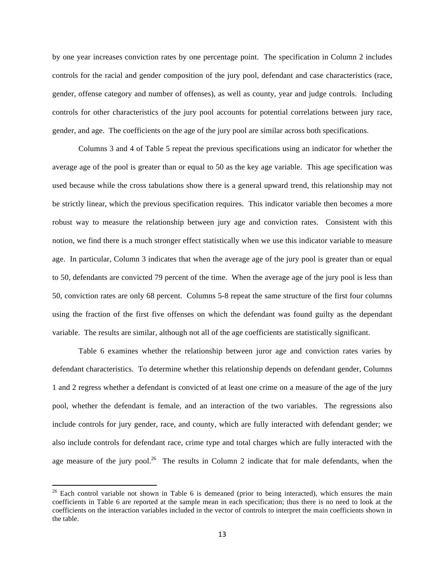by one year increases conviction rates by one percentage point. The specification in Column 2 includes controls for the racial and gender composition of the jury pool, defendant and case characteristics (race, gender, offense category and number of offenses), as well as county, year and judge controls. Including controls for other characteristics of the jury pool accounts for potential correlations between jury race, gender, and age. The coefficients on the age of the jury pool are similar across both specifications.

Columns 3 and 4 of Table 5 repeat the previous specifications using an indicator for whether the average age of the pool is greater than or equal to 50 as the key age variable. This age specification was used because while the cross tabulations show there is a general upward trend, this relationship may not be strictly linear, which the previous specification requires. This indicator variable then becomes a more robust way to measure the relationship between jury age and conviction rates. Consistent with this notion, we find there is a much stronger effect statistically when we use this indicator variable to measure age. In particular, Column 3 indicates that when the average age of the jury pool is greater than or equal to 50, defendants are convicted 79 percent of the time. When the average age of the jury pool is less than 50, conviction rates are only 68 percent. Columns 5-8 repeat the same structure of the first four columns using the fraction of the first five offenses on which the defendant was found guilty as the dependant variable. The results are similar, although not all of the age coefficients are statistically significant.

Table 6 examines whether the relationship between juror age and conviction rates varies by defendant characteristics. To determine whether this relationship depends on defendant gender, Columns 1 and 2 regress whether a defendant is convicted of at least one crime on a measure of the age of the jury pool, whether the defendant is female, and an interaction of the two variables. The regressions also include controls for jury gender, race, and county, which are fully interacted with defendant gender; we also include controls for defendant race, crime type and total charges which are fully interacted with the age measure of the jury pool.<sup>26</sup> The results in Column 2 indicate that for male defendants, when the

<sup>&</sup>lt;sup>26</sup> Each control variable not shown in Table 6 is demeaned (prior to being interacted), which ensures the main coefficients in Table 6 are reported at the sample mean in each specification; thus there is no need to look at the coefficients on the interaction variables included in the vector of controls to interpret the main coefficients shown in the table.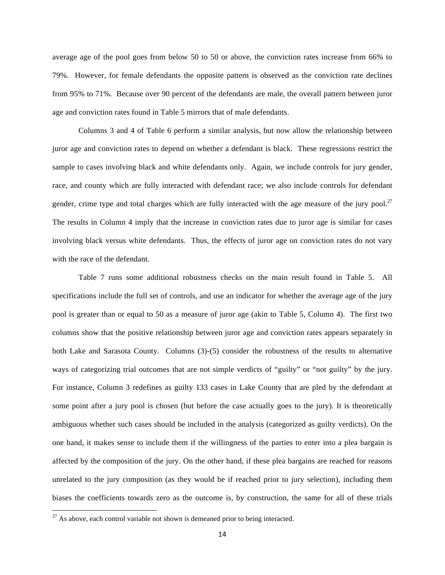average age of the pool goes from below 50 to 50 or above, the conviction rates increase from 66% to 79%. However, for female defendants the opposite pattern is observed as the conviction rate declines from 95% to 71%. Because over 90 percent of the defendants are male, the overall pattern between juror age and conviction rates found in Table 5 mirrors that of male defendants.

Columns 3 and 4 of Table 6 perform a similar analysis, but now allow the relationship between juror age and conviction rates to depend on whether a defendant is black. These regressions restrict the sample to cases involving black and white defendants only. Again, we include controls for jury gender, race, and county which are fully interacted with defendant race; we also include controls for defendant gender, crime type and total charges which are fully interacted with the age measure of the jury pool.<sup>27</sup> The results in Column 4 imply that the increase in conviction rates due to juror age is similar for cases involving black versus white defendants. Thus, the effects of juror age on conviction rates do not vary with the race of the defendant.

Table 7 runs some additional robustness checks on the main result found in Table 5. All specifications include the full set of controls, and use an indicator for whether the average age of the jury pool is greater than or equal to 50 as a measure of juror age (akin to Table 5, Column 4). The first two columns show that the positive relationship between juror age and conviction rates appears separately in both Lake and Sarasota County. Columns (3)-(5) consider the robustness of the results to alternative ways of categorizing trial outcomes that are not simple verdicts of "guilty" or "not guilty" by the jury. For instance, Column 3 redefines as guilty 133 cases in Lake County that are pled by the defendant at some point after a jury pool is chosen (but before the case actually goes to the jury). It is theoretically ambiguous whether such cases should be included in the analysis (categorized as guilty verdicts). On the one hand, it makes sense to include them if the willingness of the parties to enter into a plea bargain is affected by the composition of the jury. On the other hand, if these plea bargains are reached for reasons unrelated to the jury composition (as they would be if reached prior to jury selection), including them biases the coefficients towards zero as the outcome is, by construction, the same for all of these trials

 $^{27}$  As above, each control variable not shown is demeaned prior to being interacted.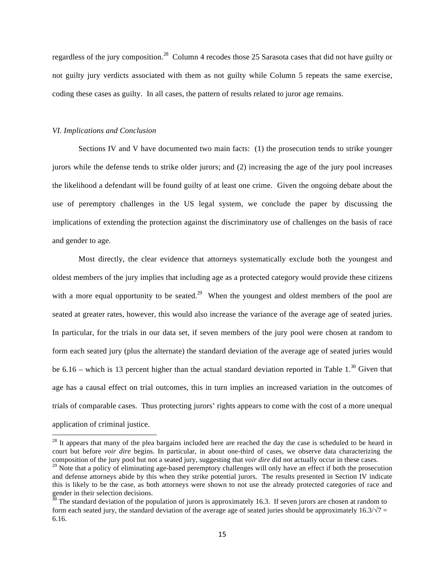regardless of the jury composition.<sup>28</sup> Column 4 recodes those 25 Sarasota cases that did not have guilty or not guilty jury verdicts associated with them as not guilty while Column 5 repeats the same exercise, coding these cases as guilty. In all cases, the pattern of results related to juror age remains.

#### *VI. Implications and Conclusion*

""""""""""""""""""""""""""""""""""""""""""""""""""""""""""""

Sections IV and V have documented two main facts: (1) the prosecution tends to strike younger jurors while the defense tends to strike older jurors; and (2) increasing the age of the jury pool increases the likelihood a defendant will be found guilty of at least one crime. Given the ongoing debate about the use of peremptory challenges in the US legal system, we conclude the paper by discussing the implications of extending the protection against the discriminatory use of challenges on the basis of race and gender to age.

Most directly, the clear evidence that attorneys systematically exclude both the youngest and oldest members of the jury implies that including age as a protected category would provide these citizens with a more equal opportunity to be seated.<sup>29</sup> When the youngest and oldest members of the pool are seated at greater rates, however, this would also increase the variance of the average age of seated juries. In particular, for the trials in our data set, if seven members of the jury pool were chosen at random to form each seated jury (plus the alternate) the standard deviation of the average age of seated juries would be  $6.16$  – which is 13 percent higher than the actual standard deviation reported in Table 1.<sup>30</sup> Given that age has a causal effect on trial outcomes, this in turn implies an increased variation in the outcomes of trials of comparable cases. Thus protecting jurors' rights appears to come with the cost of a more unequal application of criminal justice.

 $^{28}$  It appears that many of the plea bargains included here are reached the day the case is scheduled to be heard in court but before *voir dire* begins. In particular, in about one-third of cases, we observe data characterizing the composition of the jury pool but not a seated jury, suggesting that *voir dire* did not actually occur in these cases.

<sup>&</sup>lt;sup>29</sup> Note that a policy of eliminating age-based peremptory challenges will only have an effect if both the prosecution and defense attorneys abide by this when they strike potential jurors. The results presented in Section IV indicate this is likely to be the case, as both attorneys were shown to not use the already protected categories of race and gender in their selection decisions.

 $36$  The standard deviation of the population of jurors is approximately 16.3. If seven jurors are chosen at random to form each seated jury, the standard deviation of the average age of seated juries should be approximately  $16.3/\sqrt{7}$  = 6.16.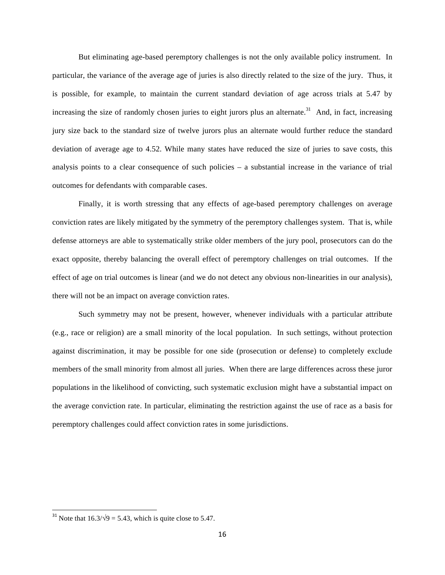But eliminating age-based peremptory challenges is not the only available policy instrument. In particular, the variance of the average age of juries is also directly related to the size of the jury. Thus, it is possible, for example, to maintain the current standard deviation of age across trials at 5.47 by increasing the size of randomly chosen juries to eight jurors plus an alternate.<sup>31</sup> And, in fact, increasing jury size back to the standard size of twelve jurors plus an alternate would further reduce the standard deviation of average age to 4.52. While many states have reduced the size of juries to save costs, this analysis points to a clear consequence of such policies – a substantial increase in the variance of trial outcomes for defendants with comparable cases.

Finally, it is worth stressing that any effects of age-based peremptory challenges on average conviction rates are likely mitigated by the symmetry of the peremptory challenges system. That is, while defense attorneys are able to systematically strike older members of the jury pool, prosecutors can do the exact opposite, thereby balancing the overall effect of peremptory challenges on trial outcomes. If the effect of age on trial outcomes is linear (and we do not detect any obvious non-linearities in our analysis), there will not be an impact on average conviction rates.

Such symmetry may not be present, however, whenever individuals with a particular attribute (e.g., race or religion) are a small minority of the local population. In such settings, without protection against discrimination, it may be possible for one side (prosecution or defense) to completely exclude members of the small minority from almost all juries. When there are large differences across these juror populations in the likelihood of convicting, such systematic exclusion might have a substantial impact on the average conviction rate. In particular, eliminating the restriction against the use of race as a basis for peremptory challenges could affect conviction rates in some jurisdictions.

<sup>&</sup>lt;sup>31</sup> Note that  $16.3/\sqrt{9} = 5.43$ , which is quite close to 5.47.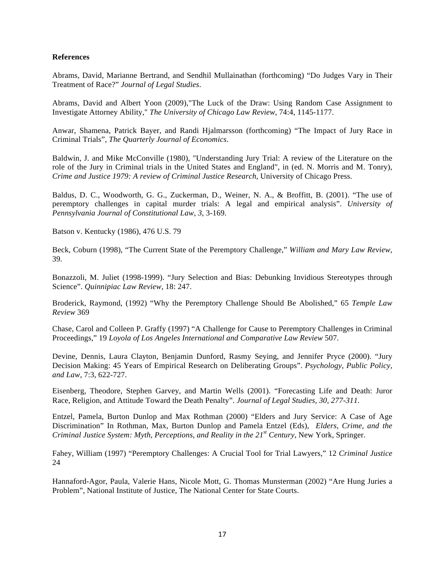## **References**

Abrams, David, Marianne Bertrand, and Sendhil Mullainathan (forthcoming) "Do Judges Vary in Their Treatment of Race?" *Journal of Legal Studies*.

Abrams, David and Albert Yoon (2009),"The Luck of the Draw: Using Random Case Assignment to Investigate Attorney Ability," *The University of Chicago Law Review*, 74:4, 1145-1177.

Anwar, Shamena, Patrick Bayer, and Randi Hjalmarsson (forthcoming) "The Impact of Jury Race in Criminal Trials", *The Quarterly Journal of Economics*.

Baldwin, J. and Mike McConville (1980), "Understanding Jury Trial: A review of the Literature on the role of the Jury in Criminal trials in the United States and England", in (ed. N. Morris and M. Tonry), *Crime and Justice 1979: A review of Criminal Justice Research*, University of Chicago Press.

Baldus, D. C., Woodworth, G. G., Zuckerman, D., Weiner, N. A., & Broffitt, B. (2001). "The use of peremptory challenges in capital murder trials: A legal and empirical analysis". *University of Pennsylvania Journal of Constitutional Law*, *3*, 3-169.

Batson v. Kentucky (1986), 476 U.S. 79

Beck, Coburn (1998), "The Current State of the Peremptory Challenge," *William and Mary Law Review*, 39.

Bonazzoli, M. Juliet (1998-1999). "Jury Selection and Bias: Debunking Invidious Stereotypes through Science". *Quinnipiac Law Review*, 18: 247.

Broderick, Raymond, (1992) "Why the Peremptory Challenge Should Be Abolished," 65 *Temple Law Review* 369

Chase, Carol and Colleen P. Graffy (1997) "A Challenge for Cause to Peremptory Challenges in Criminal Proceedings," 19 *Loyola of Los Angeles International and Comparative Law Review* 507.

Devine, Dennis, Laura Clayton, Benjamin Dunford, Rasmy Seying, and Jennifer Pryce (2000). "Jury Decision Making: 45 Years of Empirical Research on Deliberating Groups". *Psychology, Public Policy, and Law*, 7:3, 622-727.

Eisenberg, Theodore, Stephen Garvey, and Martin Wells (2001). "Forecasting Life and Death: Juror Race, Religion, and Attitude Toward the Death Penalty". *Journal of Legal Studies, 30, 277-311.*

Entzel, Pamela, Burton Dunlop and Max Rothman (2000) "Elders and Jury Service: A Case of Age Discrimination" In Rothman, Max, Burton Dunlop and Pamela Entzel (Eds), *Elders, Crime, and the Criminal Justice System: Myth, Perceptions, and Reality in the 21st Century*, New York, Springer.

Fahey, William (1997) "Peremptory Challenges: A Crucial Tool for Trial Lawyers," 12 *Criminal Justice* 24

Hannaford-Agor, Paula, Valerie Hans, Nicole Mott, G. Thomas Munsterman (2002) "Are Hung Juries a Problem", National Institute of Justice, The National Center for State Courts.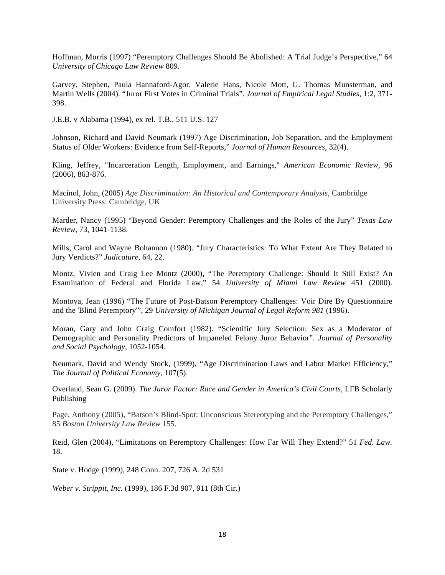Hoffman, Morris (1997) "Peremptory Challenges Should Be Abolished: A Trial Judge's Perspective," 64 *University of Chicago Law Review* 809.

Garvey, Stephen, Paula Hannaford-Agor, Valerie Hans, Nicole Mott, G. Thomas Munsterman, and Martin Wells (2004). "Juror First Votes in Criminal Trials". *Journal of Empirical Legal Studies*, 1:2, 371- 398.

J.E.B. v Alabama (1994), ex rel. T.B., 511 U.S. 127

Johnson, Richard and David Neumark (1997) Age Discrimination, Job Separation, and the Employment Status of Older Workers: Evidence from Self-Reports," *Journal of Human Resources*, 32(4).

Kling, Jeffrey, "Incarceration Length, Employment, and Earnings," *American Economic Review*, 96 (2006), 863-876.

Macinol, John, (2005) *Age Discrimination: An Historical and Contemporary Analysis*, Cambridge University Press: Cambridge, UK

Marder, Nancy (1995) "Beyond Gender: Peremptory Challenges and the Roles of the Jury" *Texas Law Review*, 73, 1041-1138.

Mills, Carol and Wayne Bohannon (1980). "Jury Characteristics: To What Extent Are They Related to Jury Verdicts?" *Judicature*, 64, 22.

Montz, Vivien and Craig Lee Montz (2000), "The Peremptory Challenge: Should It Still Exist? An Examination of Federal and Florida Law," 54 *University of Miami Law Review* 451 (2000).

Montoya, Jean (1996) "The Future of Post-Batson Peremptory Challenges: Voir Dire By Questionnaire and the 'Blind Peremptory'", 29 *University of Michigan Journal of Legal Reform 981* (1996).

Moran, Gary and John Craig Comfort (1982). "Scientific Jury Selection: Sex as a Moderator of Demographic and Personality Predictors of Impaneled Felony Juror Behavior". *Journal of Personality and Social Psychology*, 1052-1054.

Neumark, David and Wendy Stock, (1999), "Age Discrimination Laws and Labor Market Efficiency," *The Journal of Political Economy*, 107(5).

Overland, Sean G. (2009). *The Juror Factor: Race and Gender in America's Civil Courts*, LFB Scholarly Publishing

Page, Anthony (2005), "Batson's Blind-Spot: Unconscious Stereotyping and the Peremptory Challenges," 85 *Boston University Law Review* 155.

Reid, Glen (2004), "Limitations on Peremptory Challenges: How Far Will They Extend?" 51 *Fed. Law.*  18.

State v. Hodge (1999), 248 Conn. 207, 726 A. 2d 531

*Weber v. Strippit, Inc.* (1999)*,* 186 F.3d 907, 911 (8th Cir.)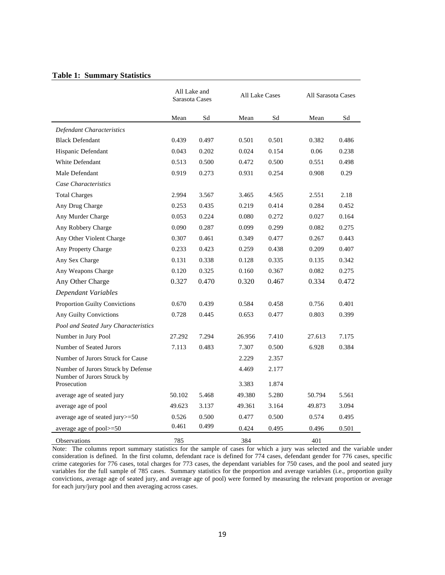### **Table 1: Summary Statistics**

|                                                                  | All Lake and<br><b>All Lake Cases</b><br>Sarasota Cases |       |        | All Sarasota Cases |        |       |
|------------------------------------------------------------------|---------------------------------------------------------|-------|--------|--------------------|--------|-------|
|                                                                  | Mean                                                    | Sd    | Mean   | Sd                 | Mean   | Sd    |
| Defendant Characteristics                                        |                                                         |       |        |                    |        |       |
| <b>Black Defendant</b>                                           | 0.439                                                   | 0.497 | 0.501  | 0.501              | 0.382  | 0.486 |
| Hispanic Defendant                                               | 0.043                                                   | 0.202 | 0.024  | 0.154              | 0.06   | 0.238 |
| White Defendant                                                  | 0.513                                                   | 0.500 | 0.472  | 0.500              | 0.551  | 0.498 |
| Male Defendant                                                   | 0.919                                                   | 0.273 | 0.931  | 0.254              | 0.908  | 0.29  |
| Case Characteristics                                             |                                                         |       |        |                    |        |       |
| <b>Total Charges</b>                                             | 2.994                                                   | 3.567 | 3.465  | 4.565              | 2.551  | 2.18  |
| Any Drug Charge                                                  | 0.253                                                   | 0.435 | 0.219  | 0.414              | 0.284  | 0.452 |
| Any Murder Charge                                                | 0.053                                                   | 0.224 | 0.080  | 0.272              | 0.027  | 0.164 |
| Any Robbery Charge                                               | 0.090                                                   | 0.287 | 0.099  | 0.299              | 0.082  | 0.275 |
| Any Other Violent Charge                                         | 0.307                                                   | 0.461 | 0.349  | 0.477              | 0.267  | 0.443 |
| Any Property Charge                                              | 0.233                                                   | 0.423 | 0.259  | 0.438              | 0.209  | 0.407 |
| Any Sex Charge                                                   | 0.131                                                   | 0.338 | 0.128  | 0.335              | 0.135  | 0.342 |
| Any Weapons Charge                                               | 0.120                                                   | 0.325 | 0.160  | 0.367              | 0.082  | 0.275 |
| Any Other Charge                                                 | 0.327                                                   | 0.470 | 0.320  | 0.467              | 0.334  | 0.472 |
| Dependant Variables                                              |                                                         |       |        |                    |        |       |
| Proportion Guilty Convictions                                    | 0.670                                                   | 0.439 | 0.584  | 0.458              | 0.756  | 0.401 |
| Any Guilty Convictions                                           | 0.728                                                   | 0.445 | 0.653  | 0.477              | 0.803  | 0.399 |
| Pool and Seated Jury Characteristics                             |                                                         |       |        |                    |        |       |
| Number in Jury Pool                                              | 27.292                                                  | 7.294 | 26.956 | 7.410              | 27.613 | 7.175 |
| Number of Seated Jurors                                          | 7.113                                                   | 0.483 | 7.307  | 0.500              | 6.928  | 0.384 |
| Number of Jurors Struck for Cause                                |                                                         |       | 2.229  | 2.357              |        |       |
| Number of Jurors Struck by Defense<br>Number of Jurors Struck by |                                                         |       | 4.469  | 2.177              |        |       |
| Prosecution                                                      |                                                         |       | 3.383  | 1.874              |        |       |
| average age of seated jury                                       | 50.102                                                  | 5.468 | 49.380 | 5.280              | 50.794 | 5.561 |
| average age of pool                                              | 49.623                                                  | 3.137 | 49.361 | 3.164              | 49.873 | 3.094 |
| average age of seated jury >= 50                                 | 0.526                                                   | 0.500 | 0.477  | 0.500              | 0.574  | 0.495 |
| average age of pool>=50                                          | 0.461                                                   | 0.499 | 0.424  | 0.495              | 0.496  | 0.501 |
| <b>Observations</b>                                              | 785                                                     |       | 384    |                    | 401    |       |

Note: The columns report summary statistics for the sample of cases for which a jury was selected and the variable under consideration is defined. In the first column, defendant race is defined for 774 cases, defendant gender for 776 cases, specific crime categories for 776 cases, total charges for 773 cases, the dependant variables for 750 cases, and the pool and seated jury variables for the full sample of 785 cases. Summary statistics for the proportion and average variables (i.e., proportion guilty convictions, average age of seated jury, and average age of pool) were formed by measuring the relevant proportion or average for each jury/jury pool and then averaging across cases.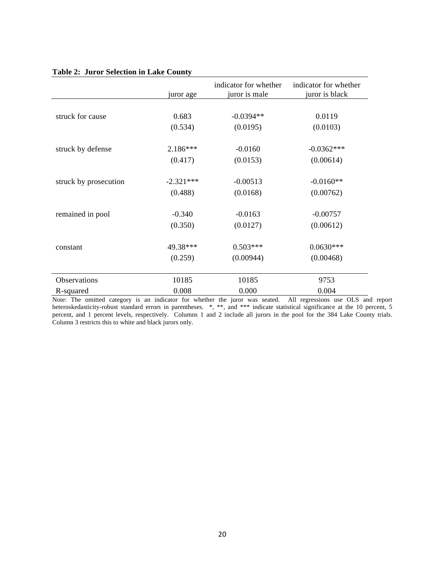|  |  | <b>Table 2: Juror Selection in Lake County</b> |  |  |  |
|--|--|------------------------------------------------|--|--|--|
|--|--|------------------------------------------------|--|--|--|

|                       | juror age   | indicator for whether<br>juror is male | indicator for whether<br>juror is black |
|-----------------------|-------------|----------------------------------------|-----------------------------------------|
|                       |             |                                        |                                         |
| struck for cause      | 0.683       | $-0.0394**$                            | 0.0119                                  |
|                       | (0.534)     | (0.0195)                               | (0.0103)                                |
|                       |             |                                        |                                         |
| struck by defense     | 2.186***    | $-0.0160$                              | $-0.0362***$                            |
|                       | (0.417)     | (0.0153)                               | (0.00614)                               |
| struck by prosecution | $-2.321***$ | $-0.00513$                             | $-0.0160**$                             |
|                       | (0.488)     | (0.0168)                               | (0.00762)                               |
|                       |             |                                        |                                         |
| remained in pool      | $-0.340$    | $-0.0163$                              | $-0.00757$                              |
|                       | (0.350)     | (0.0127)                               | (0.00612)                               |
| constant              | 49.38***    | $0.503***$                             | $0.0630***$                             |
|                       | (0.259)     | (0.00944)                              | (0.00468)                               |
|                       |             |                                        |                                         |
| Observations          | 10185       | 10185                                  | 9753                                    |
| R-squared             | 0.008       | 0.000                                  | 0.004                                   |

Note: The omitted category is an indicator for whether the juror was seated. All regressions use OLS and report heteroskedasticity-robust standard errors in parentheses. \*, \*\*, and \*\*\* indicate statistical significance at the 10 percent, 5 percent, and 1 percent levels, respectively. Columns 1 and 2 include all jurors in the pool for the 384 Lake County trials. Column 3 restricts this to white and black jurors only.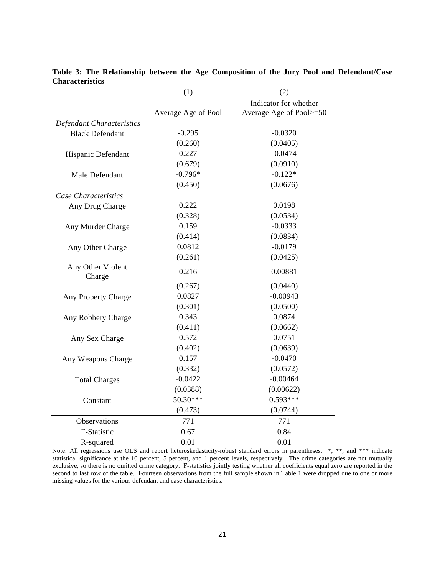|                             | (1)                 | (2)                     |
|-----------------------------|---------------------|-------------------------|
|                             |                     | Indicator for whether   |
|                             | Average Age of Pool | Average Age of Pool>=50 |
| Defendant Characteristics   |                     |                         |
| <b>Black Defendant</b>      | $-0.295$            | $-0.0320$               |
|                             | (0.260)             | (0.0405)                |
| Hispanic Defendant          | 0.227               | $-0.0474$               |
|                             | (0.679)             | (0.0910)                |
| Male Defendant              | $-0.796*$           | $-0.122*$               |
|                             | (0.450)             | (0.0676)                |
| Case Characteristics        |                     |                         |
| Any Drug Charge             | 0.222               | 0.0198                  |
|                             | (0.328)             | (0.0534)                |
| Any Murder Charge           | 0.159               | $-0.0333$               |
|                             | (0.414)             | (0.0834)                |
| Any Other Charge            | 0.0812              | $-0.0179$               |
|                             | (0.261)             | (0.0425)                |
| Any Other Violent<br>Charge | 0.216               | 0.00881                 |
|                             | (0.267)             | (0.0440)                |
| Any Property Charge         | 0.0827              | $-0.00943$              |
|                             | (0.301)             | (0.0500)                |
| Any Robbery Charge          | 0.343               | 0.0874                  |
|                             | (0.411)             | (0.0662)                |
| Any Sex Charge              | 0.572               | 0.0751                  |
|                             | (0.402)             | (0.0639)                |
| Any Weapons Charge          | 0.157               | $-0.0470$               |
|                             | (0.332)             | (0.0572)                |
| <b>Total Charges</b>        | $-0.0422$           | $-0.00464$              |
|                             | (0.0388)            | (0.00622)               |
| Constant                    | 50.30***            | $0.593***$              |
|                             | (0.473)             | (0.0744)                |
| Observations                | 771                 | 771                     |
| F-Statistic                 | 0.67                | 0.84                    |
| R-squared                   | 0.01                | 0.01                    |

**Table 3: The Relationship between the Age Composition of the Jury Pool and Defendant/Case Characteristics**

Note: All regressions use OLS and report heteroskedasticity-robust standard errors in parentheses.  $*, **$ , and  $***$  indicate statistical significance at the 10 percent, 5 percent, and 1 percent levels, respectively. The crime categories are not mutually exclusive, so there is no omitted crime category. F-statistics jointly testing whether all coefficients equal zero are reported in the second to last row of the table. Fourteen observations from the full sample shown in Table 1 were dropped due to one or more missing values for the various defendant and case characteristics.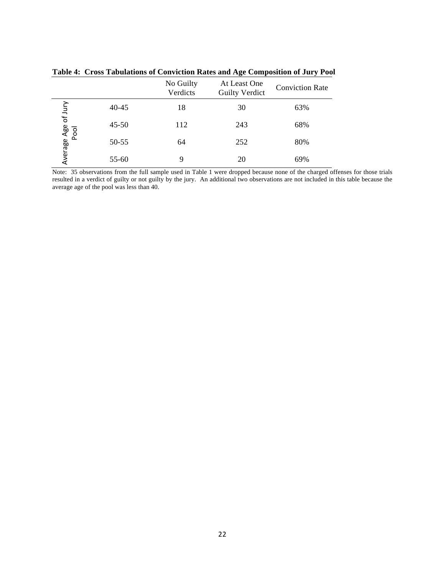|                     |           | No Guilty<br>Verdicts | At Least One<br><b>Guilty Verdict</b> | <b>Conviction Rate</b> |
|---------------------|-----------|-----------------------|---------------------------------------|------------------------|
| of Jury             | $40 - 45$ | 18                    | 30                                    | 63%                    |
|                     | $45 - 50$ | 112                   | 243                                   | 68%                    |
| Average Age<br>Pool | 50-55     | 64                    | 252                                   | 80%                    |
|                     | $55 - 60$ | 9                     | 20                                    | 69%                    |

**Table 4: Cross Tabulations of Conviction Rates and Age Composition of Jury Pool**

Note: 35 observations from the full sample used in Table 1 were dropped because none of the charged offenses for those trials resulted in a verdict of guilty or not guilty by the jury. An additional two observations are not included in this table because the average age of the pool was less than 40.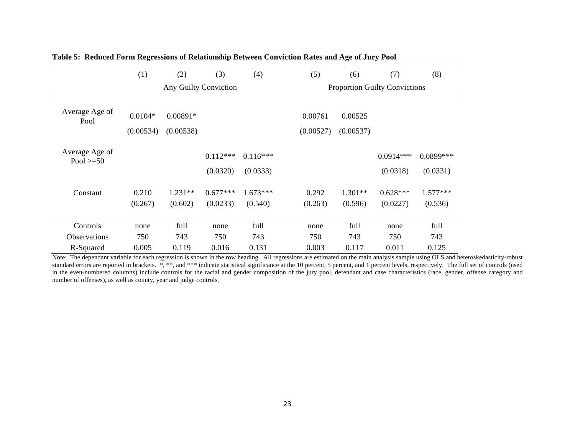|                               | (1)                    | (2)                     | (3)                    | (4)                    | (5)                  | (6)                  | (7)                                  | (8)                     |
|-------------------------------|------------------------|-------------------------|------------------------|------------------------|----------------------|----------------------|--------------------------------------|-------------------------|
|                               |                        | Any Guilty Conviction   |                        |                        |                      |                      | <b>Proportion Guilty Convictions</b> |                         |
| Average Age of<br>Pool        | $0.0104*$<br>(0.00534) | $0.00891*$<br>(0.00538) |                        |                        | 0.00761<br>(0.00527) | 0.00525<br>(0.00537) |                                      |                         |
| Average Age of<br>Pool $>=50$ |                        |                         | $0.112***$<br>(0.0320) | $0.116***$<br>(0.0333) |                      |                      | $0.0914***$<br>(0.0318)              | $0.0899***$<br>(0.0331) |
| Constant                      | 0.210<br>(0.267)       | $1.231**$<br>(0.602)    | $0.677***$<br>(0.0233) | $1.673***$<br>(0.540)  | 0.292<br>(0.263)     | $1.301**$<br>(0.596) | $0.628***$<br>(0.0227)               | $1.577***$<br>(0.536)   |
| Controls                      | none                   | full                    | none                   | full                   | none                 | full                 | none                                 | full                    |
| <b>Observations</b>           | 750                    | 743                     | 750                    | 743                    | 750                  | 743                  | 750                                  | 743                     |
| R-Squared                     | 0.005                  | 0.119                   | 0.016                  | 0.131                  | 0.003                | 0.117                | 0.011                                | 0.125                   |

**Table 5: Reduced Form Regressions of Relationship Between Conviction Rates and Age of Jury Pool**

Note: The dependant variable for each regression is shown in the row heading. All regressions are estimated on the main analysis sample using OLS and heteroskedasticity-robust standard errors are reported in brackets. \*, \*\*, and \*\*\* indicate statistical significance at the 10 percent, 5 percent, and 1 percent levels, respectively. The full set of controls (used in the even-numbered columns) include controls for the racial and gender composition of the jury pool, defendant and case characteristics (race, gender, offense category and number of offenses), as well as county, year and judge controls.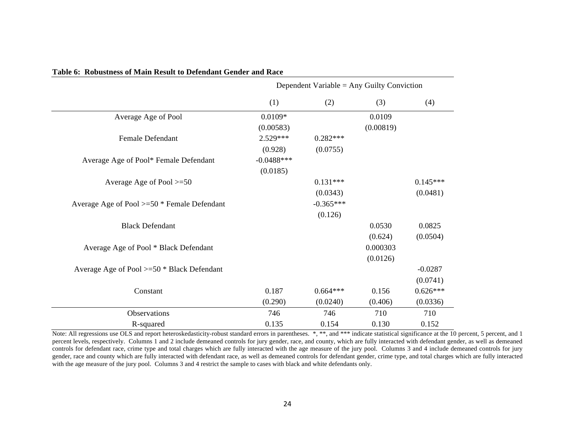|                                              | Dependent Variable = Any Guilty Conviction |             |           |            |
|----------------------------------------------|--------------------------------------------|-------------|-----------|------------|
|                                              | (1)                                        | (2)         | (3)       | (4)        |
| Average Age of Pool                          | $0.0109*$                                  |             | 0.0109    |            |
|                                              | (0.00583)                                  |             | (0.00819) |            |
| Female Defendant                             | 2.529***                                   | $0.282***$  |           |            |
|                                              | (0.928)                                    | (0.0755)    |           |            |
| Average Age of Pool* Female Defendant        | $-0.0488***$                               |             |           |            |
|                                              | (0.0185)                                   |             |           |            |
| Average Age of Pool $>=50$                   |                                            | $0.131***$  |           | $0.145***$ |
|                                              |                                            | (0.0343)    |           | (0.0481)   |
| Average Age of Pool >=50 * Female Defendant  |                                            | $-0.365***$ |           |            |
|                                              |                                            | (0.126)     |           |            |
| <b>Black Defendant</b>                       |                                            |             | 0.0530    | 0.0825     |
|                                              |                                            |             | (0.624)   | (0.0504)   |
| Average Age of Pool * Black Defendant        |                                            |             | 0.000303  |            |
|                                              |                                            |             | (0.0126)  |            |
| Average Age of Pool $>=50$ * Black Defendant |                                            |             |           | $-0.0287$  |
|                                              |                                            |             |           | (0.0741)   |
| Constant                                     | 0.187                                      | $0.664***$  | 0.156     | $0.626***$ |
|                                              | (0.290)                                    | (0.0240)    | (0.406)   | (0.0336)   |
| Observations                                 | 746                                        | 746         | 710       | 710        |
| R-squared                                    | 0.135                                      | 0.154       | 0.130     | 0.152      |

### **Table 6: Robustness of Main Result to Defendant Gender and Race**

Note: All regressions use OLS and report heteroskedasticity-robust standard errors in parentheses. \*, \*\*, and \*\*\* indicate statistical significance at the 10 percent, 5 percent, and 1 percent levels, respectively. Columns 1 and 2 include demeaned controls for jury gender, race, and county, which are fully interacted with defendant gender, as well as demeaned controls for defendant race, crime type and total charges which are fully interacted with the age measure of the jury pool. Columns 3 and 4 include demeaned controls for jury gender, race and county which are fully interacted with defendant race, as well as demeaned controls for defendant gender, crime type, and total charges which are fully interacted with the age measure of the jury pool. Columns 3 and 4 restrict the sample to cases with black and white defendants only.